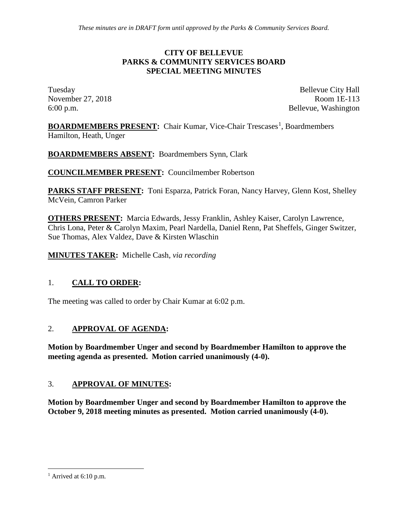#### **CITY OF BELLEVUE PARKS & COMMUNITY SERVICES BOARD SPECIAL MEETING MINUTES**

Tuesday Bellevue City Hall November 27, 2018 Room 1E-113 6:00 p.m. Bellevue, Washington

**BOARDMEMBERS PRESENT:** Chair Kumar, Vice-Chair Trescases<sup>[1](#page-0-0)</sup>, Boardmembers Hamilton, Heath, Unger

**BOARDMEMBERS ABSENT:** Boardmembers Synn, Clark

**COUNCILMEMBER PRESENT:** Councilmember Robertson

**PARKS STAFF PRESENT:** Toni Esparza, Patrick Foran, Nancy Harvey, Glenn Kost, Shelley McVein, Camron Parker

**OTHERS PRESENT:** Marcia Edwards, Jessy Franklin, Ashley Kaiser, Carolyn Lawrence, Chris Lona, Peter & Carolyn Maxim, Pearl Nardella, Daniel Renn, Pat Sheffels, Ginger Switzer, Sue Thomas, Alex Valdez, Dave & Kirsten Wlaschin

**MINUTES TAKER:** Michelle Cash*, via recording*

## 1. **CALL TO ORDER:**

The meeting was called to order by Chair Kumar at 6:02 p.m.

## 2. **APPROVAL OF AGENDA:**

**Motion by Boardmember Unger and second by Boardmember Hamilton to approve the meeting agenda as presented. Motion carried unanimously (4-0).**

## 3. **APPROVAL OF MINUTES:**

**Motion by Boardmember Unger and second by Boardmember Hamilton to approve the October 9, 2018 meeting minutes as presented. Motion carried unanimously (4-0).**

<span id="page-0-0"></span> $<sup>1</sup>$  Arrived at 6:10 p.m.</sup>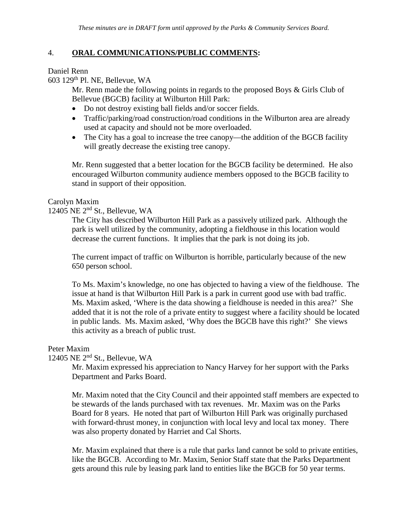## 4. **ORAL COMMUNICATIONS/PUBLIC COMMENTS:**

Daniel Renn

603 129th Pl. NE, Bellevue, WA

Mr. Renn made the following points in regards to the proposed Boys & Girls Club of Bellevue (BGCB) facility at Wilburton Hill Park:

- Do not destroy existing ball fields and/or soccer fields.
- Traffic/parking/road construction/road conditions in the Wilburton area are already used at capacity and should not be more overloaded.
- The City has a goal to increase the tree canopy—the addition of the BGCB facility will greatly decrease the existing tree canopy.

Mr. Renn suggested that a better location for the BGCB facility be determined. He also encouraged Wilburton community audience members opposed to the BGCB facility to stand in support of their opposition.

## Carolyn Maxim

## 12405 NE 2nd St., Bellevue, WA

The City has described Wilburton Hill Park as a passively utilized park. Although the park is well utilized by the community, adopting a fieldhouse in this location would decrease the current functions. It implies that the park is not doing its job.

The current impact of traffic on Wilburton is horrible, particularly because of the new 650 person school.

To Ms. Maxim's knowledge, no one has objected to having a view of the fieldhouse. The issue at hand is that Wilburton Hill Park is a park in current good use with bad traffic. Ms. Maxim asked, 'Where is the data showing a fieldhouse is needed in this area?' She added that it is not the role of a private entity to suggest where a facility should be located in public lands. Ms. Maxim asked, 'Why does the BGCB have this right?' She views this activity as a breach of public trust.

## Peter Maxim

## 12405 NE 2nd St., Bellevue, WA

Mr. Maxim expressed his appreciation to Nancy Harvey for her support with the Parks Department and Parks Board.

Mr. Maxim noted that the City Council and their appointed staff members are expected to be stewards of the lands purchased with tax revenues. Mr. Maxim was on the Parks Board for 8 years. He noted that part of Wilburton Hill Park was originally purchased with forward-thrust money, in conjunction with local levy and local tax money. There was also property donated by Harriet and Cal Shorts.

Mr. Maxim explained that there is a rule that parks land cannot be sold to private entities, like the BGCB. According to Mr. Maxim, Senior Staff state that the Parks Department gets around this rule by leasing park land to entities like the BGCB for 50 year terms.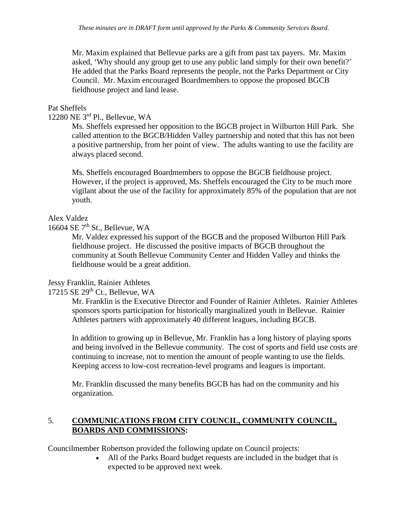Mr. Maxim explained that Bellevue parks are a gift from past tax payers. Mr. Maxim asked, 'Why should any group get to use any public land simply for their own benefit?' He added that the Parks Board represents the people, not the Parks Department or City Council. Mr. Maxim encouraged Boardmembers to oppose the proposed BGCB fieldhouse project and land lease.

### Pat Sheffels

### 12280 NE 3rd Pl., Bellevue, WA

Ms. Sheffels expressed her opposition to the BGCB project in Wilburton Hill Park. She called attention to the BGCB/Hidden Valley partnership and noted that this has not been a positive partnership, from her point of view. The adults wanting to use the facility are always placed second.

Ms. Sheffels encouraged Boardmembers to oppose the BGCB fieldhouse project. However, if the project is approved, Ms. Sheffels encouraged the City to be much more vigilant about the use of the facility for approximately 85% of the population that are not youth.

#### Alex Valdez

#### 16604 SE 7<sup>th</sup> St., Bellevue, WA

Mr. Valdez expressed his support of the BGCB and the proposed Wilburton Hill Park fieldhouse project. He discussed the positive impacts of BGCB throughout the community at South Bellevue Community Center and Hidden Valley and thinks the fieldhouse would be a great addition.

#### Jessy Franklin, Rainier Athletes

## $17215$  SE  $29<sup>th</sup>$  Ct., Bellevue, WA

Mr. Franklin is the Executive Director and Founder of Rainier Athletes. Rainier Athletes sponsors sports participation for historically marginalized youth in Bellevue. Rainier Athletes partners with approximately 40 different leagues, including BGCB.

In addition to growing up in Bellevue, Mr. Franklin has a long history of playing sports and being involved in the Bellevue community. The cost of sports and field use costs are continuing to increase, not to mention the amount of people wanting to use the fields. Keeping access to low-cost recreation-level programs and leagues is important.

Mr. Franklin discussed the many benefits BGCB has had on the community and his organization.

## 5. **COMMUNICATIONS FROM CITY COUNCIL, COMMUNITY COUNCIL, BOARDS AND COMMISSIONS:**

Councilmember Robertson provided the following update on Council projects:

• All of the Parks Board budget requests are included in the budget that is expected to be approved next week.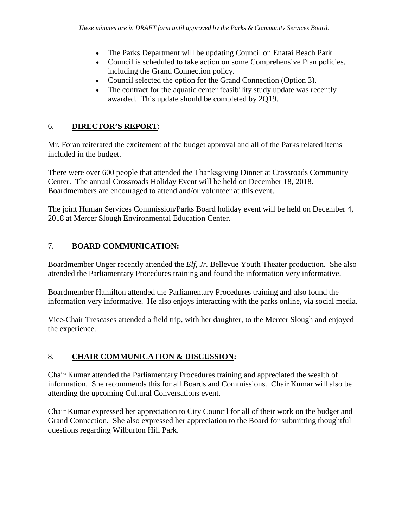- The Parks Department will be updating Council on Enatai Beach Park.
- Council is scheduled to take action on some Comprehensive Plan policies, including the Grand Connection policy.
- Council selected the option for the Grand Connection (Option 3).
- The contract for the aquatic center feasibility study update was recently awarded. This update should be completed by 2Q19.

# 6. **DIRECTOR'S REPORT:**

Mr. Foran reiterated the excitement of the budget approval and all of the Parks related items included in the budget.

There were over 600 people that attended the Thanksgiving Dinner at Crossroads Community Center. The annual Crossroads Holiday Event will be held on December 18, 2018. Boardmembers are encouraged to attend and/or volunteer at this event.

The joint Human Services Commission/Parks Board holiday event will be held on December 4, 2018 at Mercer Slough Environmental Education Center.

# 7. **BOARD COMMUNICATION:**

Boardmember Unger recently attended the *Elf, Jr.* Bellevue Youth Theater production. She also attended the Parliamentary Procedures training and found the information very informative.

Boardmember Hamilton attended the Parliamentary Procedures training and also found the information very informative. He also enjoys interacting with the parks online, via social media.

Vice-Chair Trescases attended a field trip, with her daughter, to the Mercer Slough and enjoyed the experience.

# 8. **CHAIR COMMUNICATION & DISCUSSION:**

Chair Kumar attended the Parliamentary Procedures training and appreciated the wealth of information. She recommends this for all Boards and Commissions. Chair Kumar will also be attending the upcoming Cultural Conversations event.

Chair Kumar expressed her appreciation to City Council for all of their work on the budget and Grand Connection. She also expressed her appreciation to the Board for submitting thoughtful questions regarding Wilburton Hill Park.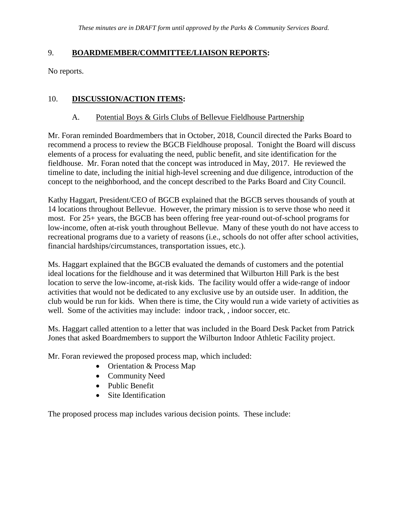## 9. **BOARDMEMBER/COMMITTEE/LIAISON REPORTS:**

No reports.

## 10. **DISCUSSION/ACTION ITEMS:**

## A. Potential Boys & Girls Clubs of Bellevue Fieldhouse Partnership

Mr. Foran reminded Boardmembers that in October, 2018, Council directed the Parks Board to recommend a process to review the BGCB Fieldhouse proposal. Tonight the Board will discuss elements of a process for evaluating the need, public benefit, and site identification for the fieldhouse. Mr. Foran noted that the concept was introduced in May, 2017. He reviewed the timeline to date, including the initial high-level screening and due diligence, introduction of the concept to the neighborhood, and the concept described to the Parks Board and City Council.

Kathy Haggart, President/CEO of BGCB explained that the BGCB serves thousands of youth at 14 locations throughout Bellevue. However, the primary mission is to serve those who need it most. For 25+ years, the BGCB has been offering free year-round out-of-school programs for low-income, often at-risk youth throughout Bellevue. Many of these youth do not have access to recreational programs due to a variety of reasons (i.e., schools do not offer after school activities, financial hardships/circumstances, transportation issues, etc.).

Ms. Haggart explained that the BGCB evaluated the demands of customers and the potential ideal locations for the fieldhouse and it was determined that Wilburton Hill Park is the best location to serve the low-income, at-risk kids. The facility would offer a wide-range of indoor activities that would not be dedicated to any exclusive use by an outside user. In addition, the club would be run for kids. When there is time, the City would run a wide variety of activities as well. Some of the activities may include: indoor track, , indoor soccer, etc.

Ms. Haggart called attention to a letter that was included in the Board Desk Packet from Patrick Jones that asked Boardmembers to support the Wilburton Indoor Athletic Facility project.

Mr. Foran reviewed the proposed process map, which included:

- Orientation & Process Map
- Community Need
- Public Benefit
- Site Identification

The proposed process map includes various decision points. These include: